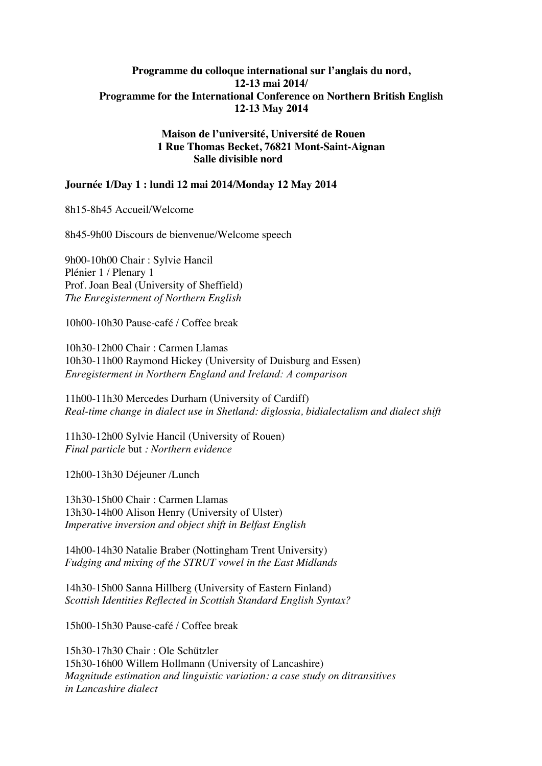## **Programme du colloque international sur l'anglais du nord, 12-13 mai 2014/ Programme for the International Conference on Northern British English 12-13 May 2014**

## **Maison de l'université, Université de Rouen 1 Rue Thomas Becket, 76821 Mont-Saint-Aignan Salle divisible nord**

## **Journée 1/Day 1 : lundi 12 mai 2014/Monday 12 May 2014**

8h15-8h45 Accueil/Welcome

8h45-9h00 Discours de bienvenue/Welcome speech

9h00-10h00 Chair : Sylvie Hancil Plénier 1 / Plenary 1 Prof. Joan Beal (University of Sheffield) *The Enregisterment of Northern English*

10h00-10h30 Pause-café / Coffee break

10h30-12h00 Chair : Carmen Llamas 10h30-11h00 Raymond Hickey (University of Duisburg and Essen) *Enregisterment in Northern England and Ireland: A comparison*

11h00-11h30 Mercedes Durham (University of Cardiff) *Real-time change in dialect use in Shetland: diglossia, bidialectalism and dialect shift*

11h30-12h00 Sylvie Hancil (University of Rouen) *Final particle* but *: Northern evidence*

12h00-13h30 Déjeuner /Lunch

13h30-15h00 Chair : Carmen Llamas 13h30-14h00 Alison Henry (University of Ulster) *Imperative inversion and object shift in Belfast English*

14h00-14h30 Natalie Braber (Nottingham Trent University) *Fudging and mixing of the STRUT vowel in the East Midlands*

14h30-15h00 Sanna Hillberg (University of Eastern Finland) *Scottish Identities Reflected in Scottish Standard English Syntax?*

15h00-15h30 Pause-café / Coffee break

15h30-17h30 Chair : Ole Schützler 15h30-16h00 Willem Hollmann (University of Lancashire) *Magnitude estimation and linguistic variation: a case study on ditransitives in Lancashire dialect*